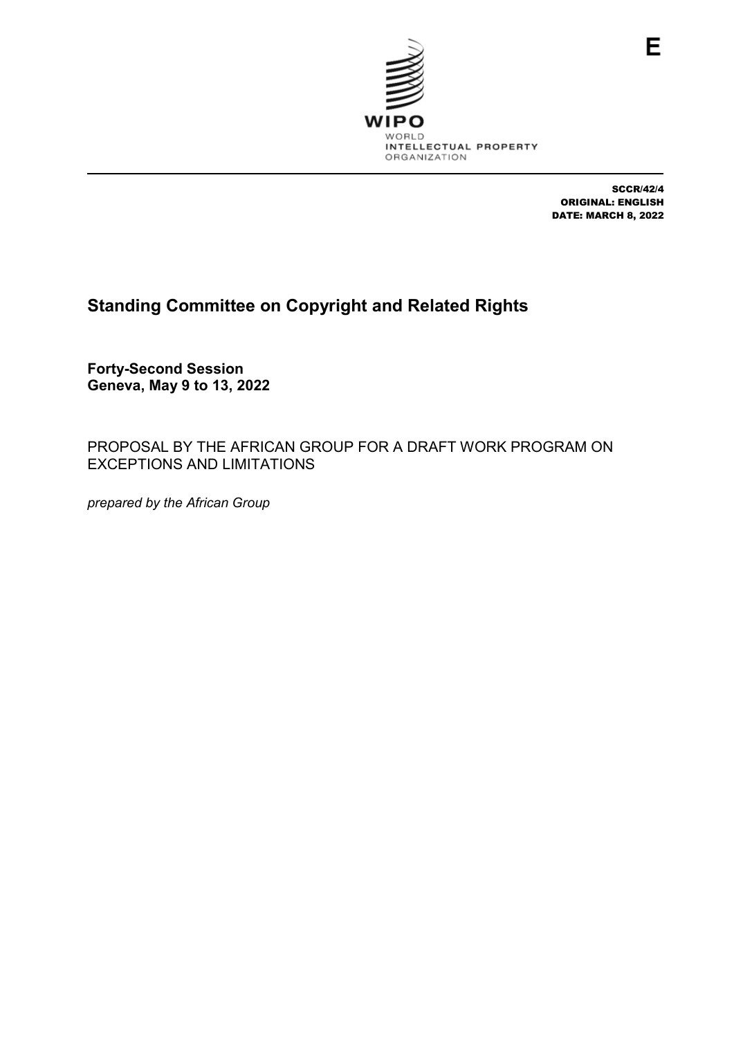

SCCR/42/4 ORIGINAL: ENGLISH DATE: MARCH 8, 2022

# **Standing Committee on Copyright and Related Rights**

**Forty-Second Session Geneva, May 9 to 13, 2022**

PROPOSAL BY THE AFRICAN GROUP FOR A DRAFT WORK PROGRAM ON EXCEPTIONS AND LIMITATIONS

*prepared by the African Group*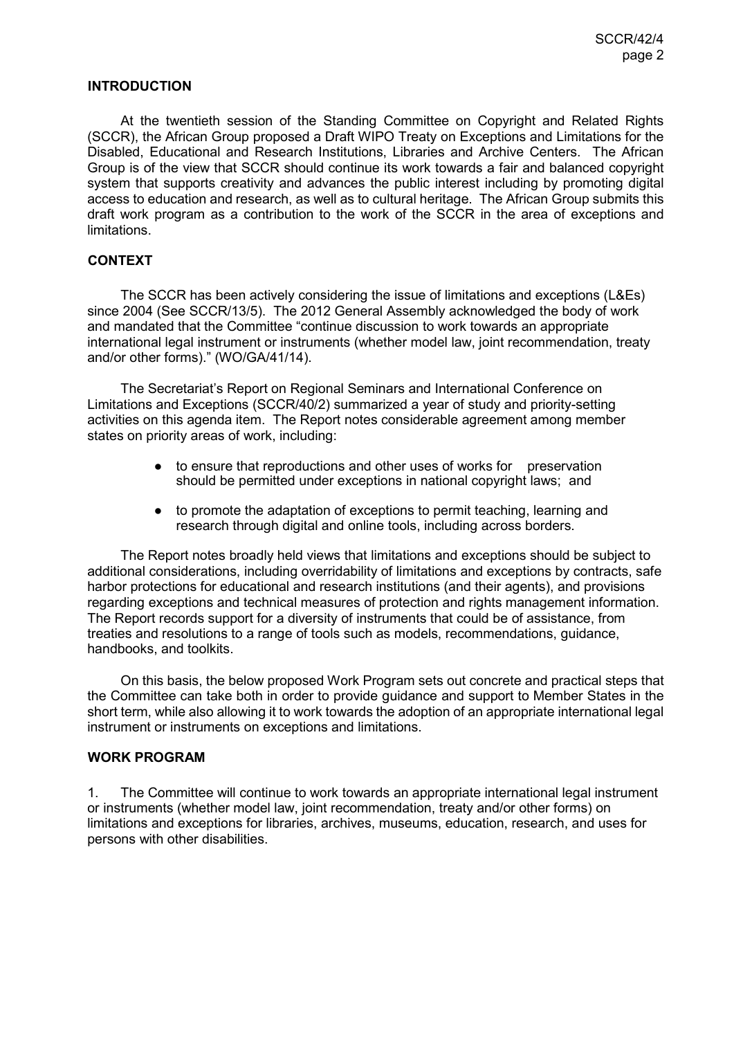#### **INTRODUCTION**

At the twentieth session of the Standing Committee on Copyright and Related Rights (SCCR), the African Group proposed a Draft WIPO Treaty on Exceptions and Limitations for the Disabled, Educational and Research Institutions, Libraries and Archive Centers. The African Group is of the view that SCCR should continue its work towards a fair and balanced copyright system that supports creativity and advances the public interest including by promoting digital access to education and research, as well as to cultural heritage. The African Group submits this draft work program as a contribution to the work of the SCCR in the area of exceptions and limitations.

### **CONTEXT**

The SCCR has been actively considering the issue of limitations and exceptions (L&Es) since 2004 (See SCCR/13/5). The 2012 General Assembly acknowledged the body of work and mandated that the Committee "continue discussion to work towards an appropriate international legal instrument or instruments (whether model law, joint recommendation, treaty and/or other forms)." (WO/GA/41/14).

The Secretariat's Report on Regional Seminars and International Conference on Limitations and Exceptions (SCCR/40/2) summarized a year of study and priority-setting activities on this agenda item. The Report notes considerable agreement among member states on priority areas of work, including:

- to ensure that reproductions and other uses of works for preservation should be permitted under exceptions in national copyright laws; and
- to promote the adaptation of exceptions to permit teaching, learning and research through digital and online tools, including across borders.

The Report notes broadly held views that limitations and exceptions should be subject to additional considerations, including overridability of limitations and exceptions by contracts, safe harbor protections for educational and research institutions (and their agents), and provisions regarding exceptions and technical measures of protection and rights management information. The Report records support for a diversity of instruments that could be of assistance, from treaties and resolutions to a range of tools such as models, recommendations, guidance, handbooks, and toolkits.

On this basis, the below proposed Work Program sets out concrete and practical steps that the Committee can take both in order to provide guidance and support to Member States in the short term, while also allowing it to work towards the adoption of an appropriate international legal instrument or instruments on exceptions and limitations.

#### **WORK PROGRAM**

1. The Committee will continue to work towards an appropriate international legal instrument or instruments (whether model law, joint recommendation, treaty and/or other forms) on limitations and exceptions for libraries, archives, museums, education, research, and uses for persons with other disabilities.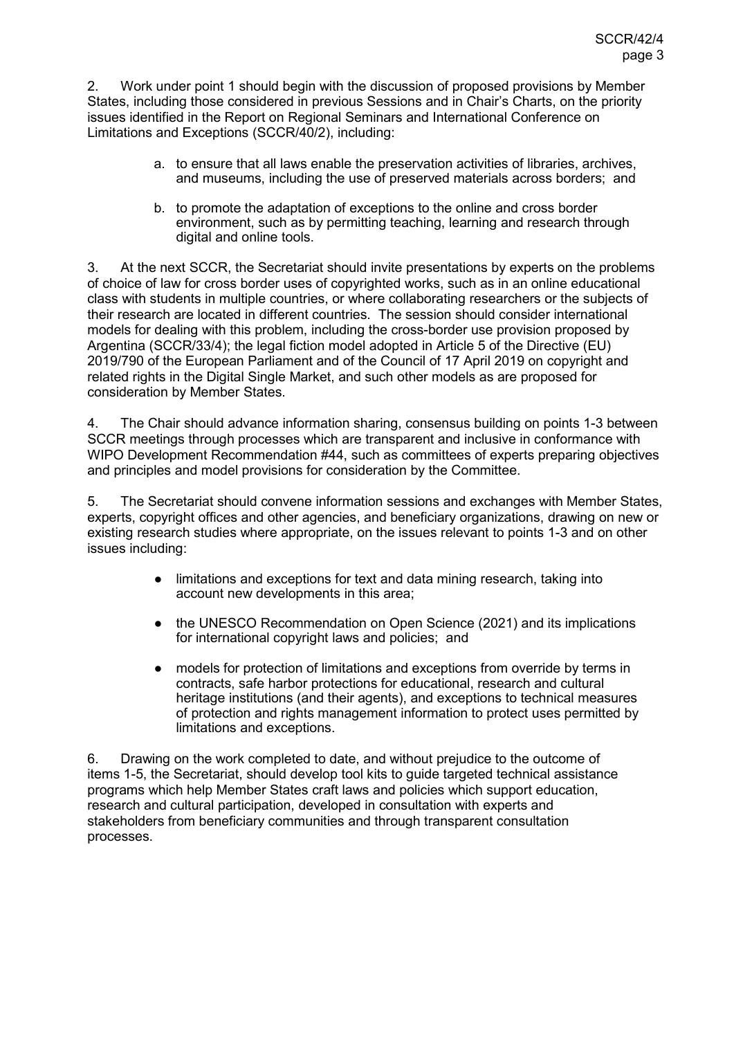2. Work under point 1 should begin with the discussion of proposed provisions by Member States, including those considered in previous Sessions and in Chair's Charts, on the priority issues identified in the Report on Regional Seminars and International Conference on Limitations and Exceptions (SCCR/40/2), including:

- a. to ensure that all laws enable the preservation activities of libraries, archives, and museums, including the use of preserved materials across borders; and
- b. to promote the adaptation of exceptions to the online and cross border environment, such as by permitting teaching, learning and research through digital and online tools.

3. At the next SCCR, the Secretariat should invite presentations by experts on the problems of choice of law for cross border uses of copyrighted works, such as in an online educational class with students in multiple countries, or where collaborating researchers or the subjects of their research are located in different countries. The session should consider international models for dealing with this problem, including the cross-border use provision proposed by Argentina (SCCR/33/4); the legal fiction model adopted in Article 5 of the Directive (EU) 2019/790 of the European Parliament and of the Council of 17 April 2019 on copyright and related rights in the Digital Single Market, and such other models as are proposed for consideration by Member States.

4. The Chair should advance information sharing, consensus building on points 1-3 between SCCR meetings through processes which are transparent and inclusive in conformance with WIPO Development Recommendation #44, such as committees of experts preparing objectives and principles and model provisions for consideration by the Committee.

5. The Secretariat should convene information sessions and exchanges with Member States, experts, copyright offices and other agencies, and beneficiary organizations, drawing on new or existing research studies where appropriate, on the issues relevant to points 1-3 and on other issues including:

- limitations and exceptions for text and data mining research, taking into account new developments in this area;
- the UNESCO Recommendation on Open Science (2021) and its implications for international copyright laws and policies; and
- models for protection of limitations and exceptions from override by terms in contracts, safe harbor protections for educational, research and cultural heritage institutions (and their agents), and exceptions to technical measures of protection and rights management information to protect uses permitted by limitations and exceptions.

6. Drawing on the work completed to date, and without prejudice to the outcome of items 1-5, the Secretariat, should develop tool kits to guide targeted technical assistance programs which help Member States craft laws and policies which support education, research and cultural participation, developed in consultation with experts and stakeholders from beneficiary communities and through transparent consultation processes.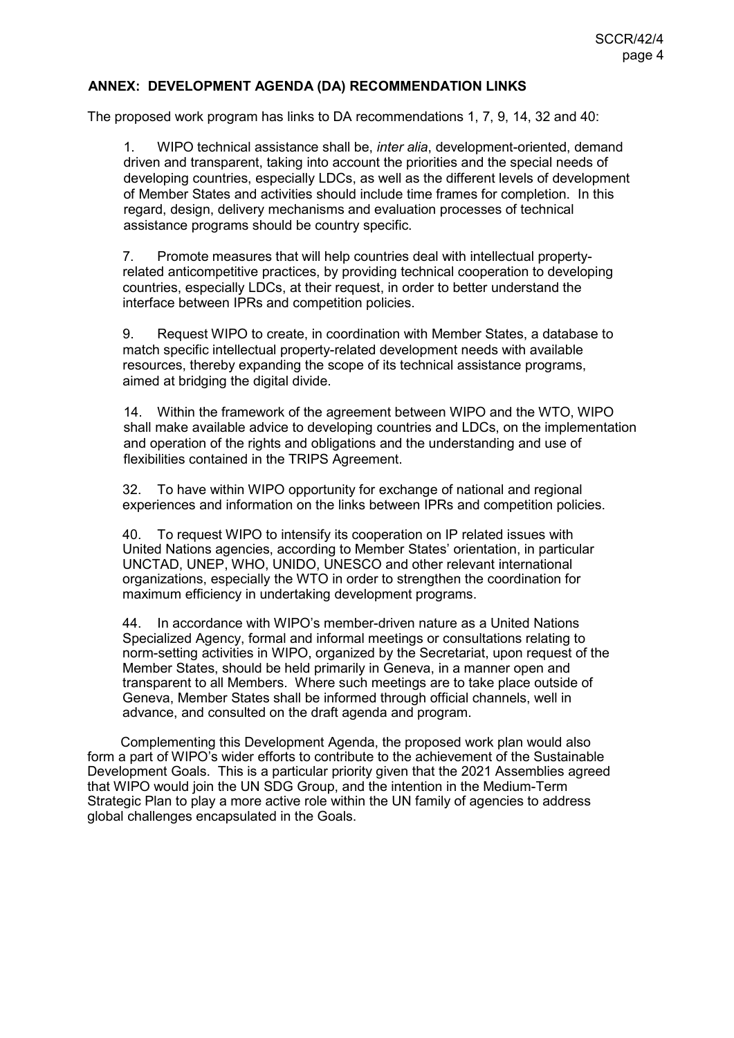## **ANNEX: DEVELOPMENT AGENDA (DA) RECOMMENDATION LINKS**

The proposed work program has links to DA recommendations 1, 7, 9, 14, 32 and 40:

1. WIPO technical assistance shall be, *inter alia*, development-oriented, demand driven and transparent, taking into account the priorities and the special needs of developing countries, especially LDCs, as well as the different levels of development of Member States and activities should include time frames for completion. In this regard, design, delivery mechanisms and evaluation processes of technical assistance programs should be country specific.

7. Promote measures that will help countries deal with intellectual propertyrelated anticompetitive practices, by providing technical cooperation to developing countries, especially LDCs, at their request, in order to better understand the interface between IPRs and competition policies.

9. Request WIPO to create, in coordination with Member States, a database to match specific intellectual property-related development needs with available resources, thereby expanding the scope of its technical assistance programs, aimed at bridging the digital divide.

14. Within the framework of the agreement between WIPO and the WTO, WIPO shall make available advice to developing countries and LDCs, on the implementation and operation of the rights and obligations and the understanding and use of flexibilities contained in the TRIPS Agreement.

32. To have within WIPO opportunity for exchange of national and regional experiences and information on the links between IPRs and competition policies.

40. To request WIPO to intensify its cooperation on IP related issues with United Nations agencies, according to Member States' orientation, in particular UNCTAD, UNEP, WHO, UNIDO, UNESCO and other relevant international organizations, especially the WTO in order to strengthen the coordination for maximum efficiency in undertaking development programs.

44. In accordance with WIPO's member-driven nature as a United Nations Specialized Agency, formal and informal meetings or consultations relating to norm-setting activities in WIPO, organized by the Secretariat, upon request of the Member States, should be held primarily in Geneva, in a manner open and transparent to all Members. Where such meetings are to take place outside of Geneva, Member States shall be informed through official channels, well in advance, and consulted on the draft agenda and program.

Complementing this Development Agenda, the proposed work plan would also form a part of WIPO's wider efforts to contribute to the achievement of the Sustainable Development Goals. This is a particular priority given that the 2021 Assemblies agreed that WIPO would join the UN SDG Group, and the intention in the Medium-Term Strategic Plan to play a more active role within the UN family of agencies to address global challenges encapsulated in the Goals.